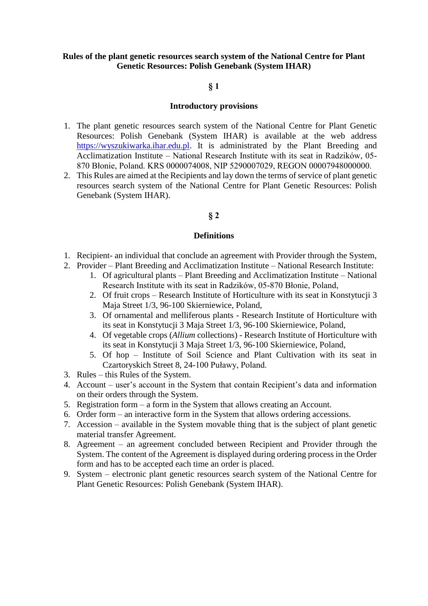# **Rules of the plant genetic resources search system of the National Centre for Plant Genetic Resources: Polish Genebank (System IHAR)**

## **§ 1**

#### **Introductory provisions**

- 1. The plant genetic resources search system of the National Centre for Plant Genetic Resources: Polish Genebank (System IHAR) is available at the web address [https://wyszukiwarka.ihar.edu.pl.](https://wyszukiwarka.ihar.edu.pl/) It is administrated by the Plant Breeding and Acclimatization Institute – National Research Institute with its seat in Radzików, 05- 870 Błonie, Poland. KRS 0000074008, NIP 5290007029, REGON 00007948000000.
- 2. This Rules are aimed at the Recipients and lay down the terms of service of plant genetic resources search system of the National Centre for Plant Genetic Resources: Polish Genebank (System IHAR).

#### **§ 2**

#### **Definitions**

- 1. Recipient- an individual that conclude an agreement with Provider through the System,
- 2. Provider Plant Breeding and Acclimatization Institute National Research Institute:
	- 1. Of agricultural plants Plant Breeding and Acclimatization Institute National Research Institute with its seat in Radzików, 05-870 Błonie, Poland,
	- 2. Of fruit crops Research Institute of Horticulture with its seat in Konstytucji 3 Maja Street 1/3, 96-100 Skierniewice, Poland,
	- 3. Of ornamental and melliferous plants Research Institute of Horticulture with its seat in Konstytucji 3 Maja Street 1/3, 96-100 Skierniewice, Poland,
	- 4. Of vegetable crops (*Allium* collections) Research Institute of Horticulture with its seat in Konstytucji 3 Maja Street 1/3, 96-100 Skierniewice, Poland,
	- 5. Of hop Institute of Soil Science and Plant Cultivation with its seat in Czartoryskich Street 8, 24-100 Puławy, Poland.
- 3. Rules this Rules of the System.
- 4. Account user's account in the System that contain Recipient's data and information on their orders through the System.
- 5. Registration form a form in the System that allows creating an Account.
- 6. Order form an interactive form in the System that allows ordering accessions.
- 7. Accession available in the System movable thing that is the subject of plant genetic material transfer Agreement.
- 8. Agreement an agreement concluded between Recipient and Provider through the System. The content of the Agreement is displayed during ordering process in the Order form and has to be accepted each time an order is placed.
- 9. System electronic plant genetic resources search system of the National Centre for Plant Genetic Resources: Polish Genebank (System IHAR).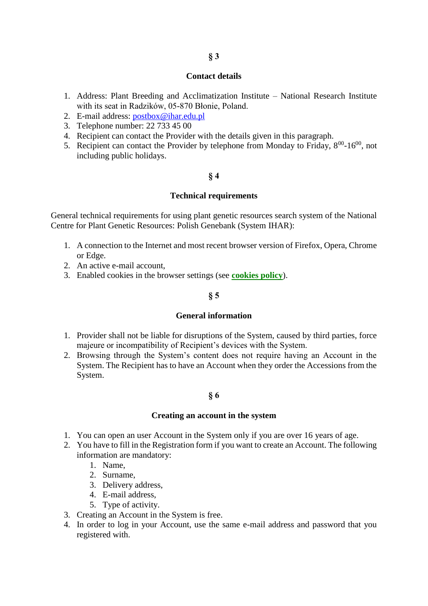#### **Contact details**

- 1. Address: Plant Breeding and Acclimatization Institute National Research Institute with its seat in Radzików, 05-870 Błonie, Poland.
- 2. E-mail address: [postbox@ihar.edu.pl](mailto:postbox@ihar.edu.pl)
- 3. Telephone number: 22 733 45 00
- 4. Recipient can contact the Provider with the details given in this paragraph.
- 5. Recipient can contact the Provider by telephone from Monday to Friday,  $8^{00}$ -16 $^{00}$ , not including public holidays.

## **§ 4**

## **Technical requirements**

General technical requirements for using plant genetic resources search system of the National Centre for Plant Genetic Resources: Polish Genebank (System IHAR):

- 1. A connection to the Internet and most recent browser version of Firefox, Opera, Chrome or Edge.
- 2. An active e-mail account,
- 3. Enabled cookies in the browser settings (see **[cookies policy](https://dokumentacja.ihar.edu.pl/en/cookies-2/)**).

# **§ 5**

#### **General information**

- 1. Provider shall not be liable for disruptions of the System, caused by third parties, force majeure or incompatibility of Recipient's devices with the System.
- 2. Browsing through the System's content does not require having an Account in the System. The Recipient has to have an Account when they order the Accessions from the System.

## **§ 6**

## **Creating an account in the system**

- 1. You can open an user Account in the System only if you are over 16 years of age.
- 2. You have to fill in the Registration form if you want to create an Account. The following information are mandatory:
	- 1. Name,
	- 2. Surname,
	- 3. Delivery address,
	- 4. E-mail address,
	- 5. Type of activity.
- 3. Creating an Account in the System is free.
- 4. In order to log in your Account, use the same e-mail address and password that you registered with.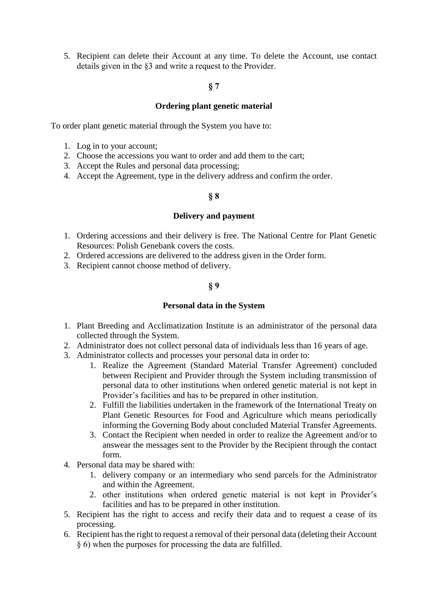5. Recipient can delete their Account at any time. To delete the Account, use contact details given in the §3 and write a request to the Provider.

## **§ 7**

## **Ordering plant genetic material**

To order plant genetic material through the System you have to:

- 1. Log in to your account;
- 2. Choose the accessions you want to order and add them to the cart;
- 3. Accept the Rules and personal data processing;
- 4. Accept the Agreement, type in the delivery address and confirm the order.

# **§ 8**

## **Delivery and payment**

- 1. Ordering accessions and their delivery is free. The National Centre for Plant Genetic Resources: Polish Genebank covers the costs.
- 2. Ordered accessions are delivered to the address given in the Order form.
- 3. Recipient cannot choose method of delivery.

## **§ 9**

#### **Personal data in the System**

- 1. Plant Breeding and Acclimatization Institute is an administrator of the personal data collected through the System.
- 2. Administrator does not collect personal data of individuals less than 16 years of age.
- 3. Administrator collects and processes your personal data in order to:
	- 1. Realize the Agreement (Standard Material Transfer Agreement) concluded between Recipient and Provider through the System including transmission of personal data to other institutions when ordered genetic material is not kept in Provider's facilities and has to be prepared in other institution.
	- 2. Fulfill the liabilities undertaken in the framework of the International Treaty on Plant Genetic Resources for Food and Agriculture which means periodically informing the Governing Body about concluded Material Transfer Agreements.
	- 3. Contact the Recipient when needed in order to realize the Agreement and/or to answear the messages sent to the Provider by the Recipient through the contact form.
- 4. Personal data may be shared with:
	- 1. delivery company or an intermediary who send parcels for the Administrator and within the Agreement.
	- 2. other institutions when ordered genetic material is not kept in Provider's facilities and has to be prepared in other institution.
- 5. Recipient has the right to access and recify their data and to request a cease of its processing.
- 6. Recipient has the right to request a removal of their personal data (deleting their Account § 6) when the purposes for processing the data are fulfilled.